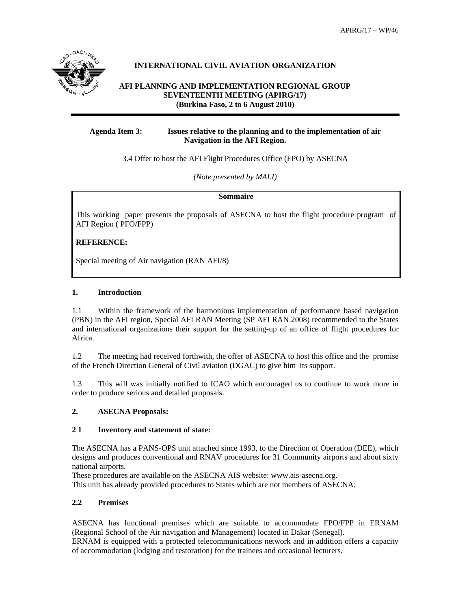

# **INTERNATIONAL CIVIL AVIATION ORGANIZATION**

#### **AFI PLANNING AND IMPLEMENTATION REGIONAL GROUP SEVENTEENTH MEETING (APIRG/17) (Burkina Faso, 2 to 6 August 2010)**

### **Agenda Item 3: Issues relative to the planning and to the implementation of air Navigation in the AFI Region.**

3.4 Offer to host the AFI Flight Procedures Office (FPO) by ASECNA

*(Note presented by MALI)* 

**Sommaire** 

This working paper presents the proposals of ASECNA to host the flight procedure program of AFI Region ( PFO/FPP)

# **REFERENCE:**

Special meeting of Air navigation (RAN AFI/8)

### **1. Introduction**

1.1 Within the framework of the harmonious implementation of performance based navigation (PBN) in the AFI region, Special AFI RAN Meeting (SP AFI RAN 2008) recommended to the States and international organizations their support for the setting-up of an office of flight procedures for Africa.

1.2 The meeting had received forthwith, the offer of ASECNA to host this office and the promise of the French Direction General of Civil aviation (DGAC) to give him its support.

1.3 This will was initially notified to ICAO which encouraged us to continue to work more in order to produce serious and detailed proposals.

## **2. ASECNA Proposals:**

#### **2 1 Inventory and statement of state:**

The ASECNA has a PANS-OPS unit attached since 1993, to the Direction of Operation (DEE), which designs and produces conventional and RNAV procedures for 31 Community airports and about sixty national airports.

These procedures are available on the ASECNA AIS website: www.ais-asecna.org. This unit has already provided procedures to States which are not members of ASECNA;

#### **2.2 Premises**

ASECNA has functional premises which are suitable to accommodate FPO/FPP in ERNAM (Regional School of the Air navigation and Management) located in Dakar (Senegal).

ERNAM is equipped with a protected telecommunications network and in addition offers a capacity of accommodation (lodging and restoration) for the trainees and occasional lecturers.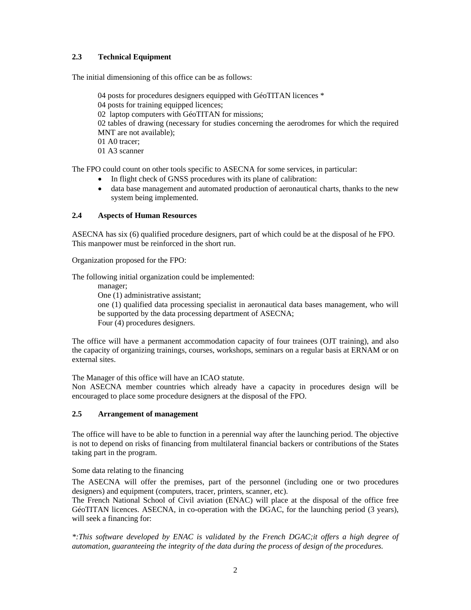# **2.3 Technical Equipment**

The initial dimensioning of this office can be as follows:

 04 posts for procedures designers equipped with GéoTITAN licences \* 04 posts for training equipped licences; 02 laptop computers with GéoTITAN for missions; 02 tables of drawing (necessary for studies concerning the aerodromes for which the required MNT are not available); 01 A0 tracer; 01 A3 scanner

The FPO could count on other tools specific to ASECNA for some services, in particular:

- In flight check of GNSS procedures with its plane of calibration:
- data base management and automated production of aeronautical charts, thanks to the new system being implemented.

### **2.4 Aspects of Human Resources**

ASECNA has six (6) qualified procedure designers, part of which could be at the disposal of he FPO. This manpower must be reinforced in the short run.

Organization proposed for the FPO:

The following initial organization could be implemented:

manager;

One (1) administrative assistant; one (1) qualified data processing specialist in aeronautical data bases management, who will be supported by the data processing department of ASECNA; Four (4) procedures designers.

The office will have a permanent accommodation capacity of four trainees (OJT training), and also the capacity of organizing trainings, courses, workshops, seminars on a regular basis at ERNAM or on external sites.

The Manager of this office will have an ICAO statute.

Non ASECNA member countries which already have a capacity in procedures design will be encouraged to place some procedure designers at the disposal of the FPO.

#### **2.5 Arrangement of management**

The office will have to be able to function in a perennial way after the launching period. The objective is not to depend on risks of financing from multilateral financial backers or contributions of the States taking part in the program.

Some data relating to the financing

The ASECNA will offer the premises, part of the personnel (including one or two procedures designers) and equipment (computers, tracer, printers, scanner, etc).

The French National School of Civil aviation (ENAC) will place at the disposal of the office free GéoTITAN licences. ASECNA, in co-operation with the DGAC, for the launching period (3 years), will seek a financing for:

*\*:This software developed by ENAC is validated by the French DGAC;it offers a high degree of automation, guaranteeing the integrity of the data during the process of design of the procedures.*